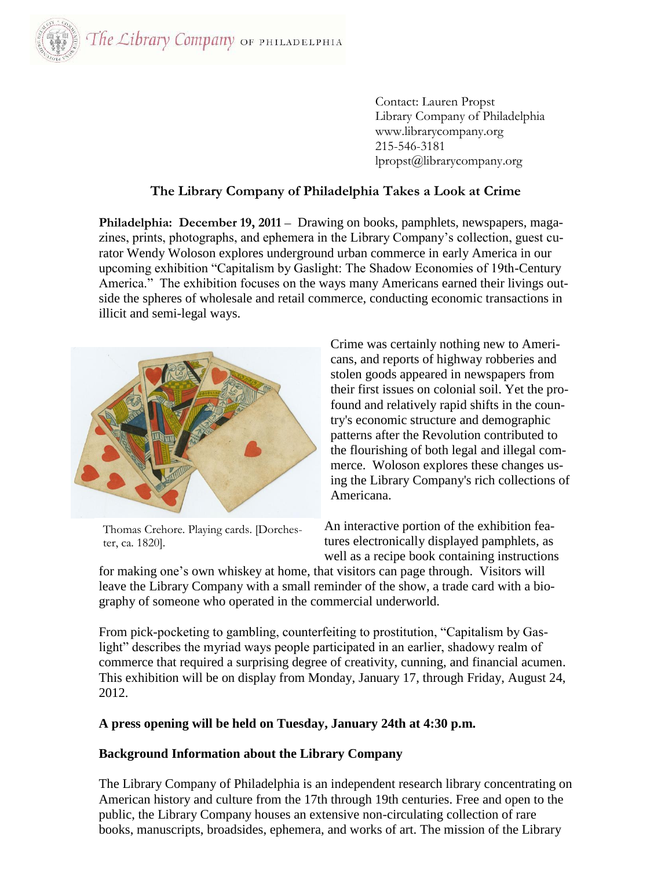

Contact: Lauren Propst Library Company of Philadelphia www.librarycompany.org 215-546-3181 lpropst@librarycompany.org

## **The Library Company of Philadelphia Takes a Look at Crime**

**Philadelphia: December 19, 2011** – Drawing on books, pamphlets, newspapers, magazines, prints, photographs, and ephemera in the Library Company's collection, guest curator Wendy Woloson explores underground urban commerce in early America in our upcoming exhibition "Capitalism by Gaslight: The Shadow Economies of 19th-Century America." The exhibition focuses on the ways many Americans earned their livings outside the spheres of wholesale and retail commerce, conducting economic transactions in illicit and semi-legal ways.



Thomas Crehore. Playing cards. [Dorches-

ter, ca. 1820].

Crime was certainly nothing new to Americans, and reports of highway robberies and stolen goods appeared in newspapers from their first issues on colonial soil. Yet the profound and relatively rapid shifts in the country's economic structure and demographic patterns after the Revolution contributed to the flourishing of both legal and illegal commerce. Woloson explores these changes using the Library Company's rich collections of Americana.

An interactive portion of the exhibition features electronically displayed pamphlets, as well as a recipe book containing instructions

for making one's own whiskey at home, that visitors can page through. Visitors will leave the Library Company with a small reminder of the show, a trade card with a biography of someone who operated in the commercial underworld.

From pick-pocketing to gambling, counterfeiting to prostitution, "Capitalism by Gaslight" describes the myriad ways people participated in an earlier, shadowy realm of commerce that required a surprising degree of creativity, cunning, and financial acumen. This exhibition will be on display from Monday, January 17, through Friday, August 24, 2012.

## **A press opening will be held on Tuesday, January 24th at 4:30 p.m.**

## **Background Information about the Library Company**

The Library Company of Philadelphia is an independent research library concentrating on American history and culture from the 17th through 19th centuries. Free and open to the public, the Library Company houses an extensive non-circulating collection of rare books, manuscripts, broadsides, ephemera, and works of art. The mission of the Library